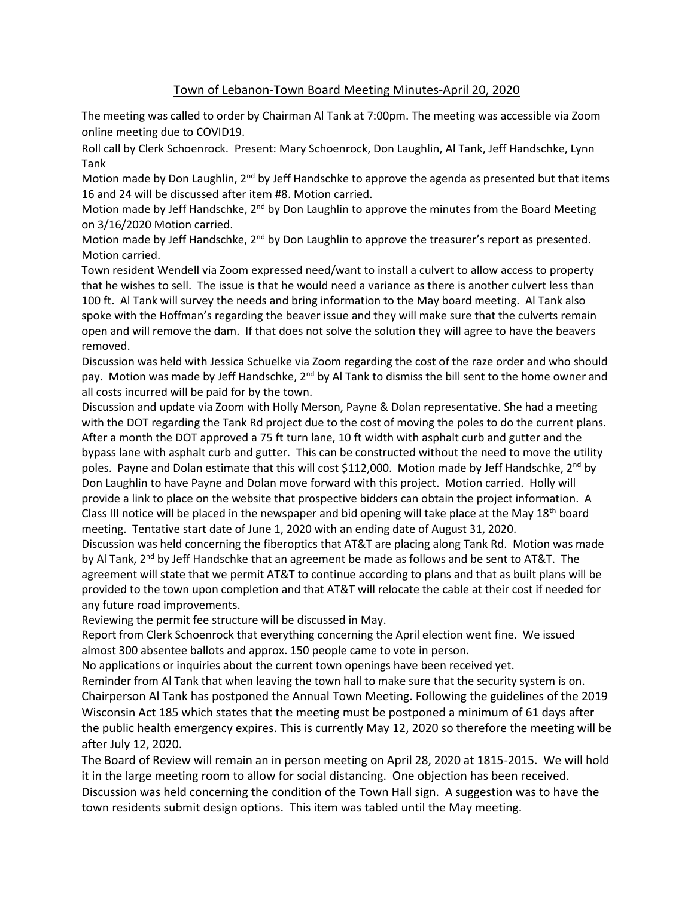## Town of Lebanon-Town Board Meeting Minutes-April 20, 2020

The meeting was called to order by Chairman Al Tank at 7:00pm. The meeting was accessible via Zoom online meeting due to COVID19.

Roll call by Clerk Schoenrock. Present: Mary Schoenrock, Don Laughlin, Al Tank, Jeff Handschke, Lynn Tank

Motion made by Don Laughlin,  $2^{nd}$  by Jeff Handschke to approve the agenda as presented but that items 16 and 24 will be discussed after item #8. Motion carried.

Motion made by Jeff Handschke, 2<sup>nd</sup> by Don Laughlin to approve the minutes from the Board Meeting on 3/16/2020 Motion carried.

Motion made by Jeff Handschke, 2<sup>nd</sup> by Don Laughlin to approve the treasurer's report as presented. Motion carried.

Town resident Wendell via Zoom expressed need/want to install a culvert to allow access to property that he wishes to sell. The issue is that he would need a variance as there is another culvert less than 100 ft. Al Tank will survey the needs and bring information to the May board meeting. Al Tank also spoke with the Hoffman's regarding the beaver issue and they will make sure that the culverts remain open and will remove the dam. If that does not solve the solution they will agree to have the beavers removed.

Discussion was held with Jessica Schuelke via Zoom regarding the cost of the raze order and who should pay. Motion was made by Jeff Handschke,  $2^{nd}$  by Al Tank to dismiss the bill sent to the home owner and all costs incurred will be paid for by the town.

Discussion and update via Zoom with Holly Merson, Payne & Dolan representative. She had a meeting with the DOT regarding the Tank Rd project due to the cost of moving the poles to do the current plans. After a month the DOT approved a 75 ft turn lane, 10 ft width with asphalt curb and gutter and the bypass lane with asphalt curb and gutter. This can be constructed without the need to move the utility poles. Payne and Dolan estimate that this will cost \$112,000. Motion made by Jeff Handschke,  $2^{nd}$  by Don Laughlin to have Payne and Dolan move forward with this project. Motion carried. Holly will provide a link to place on the website that prospective bidders can obtain the project information. A Class III notice will be placed in the newspaper and bid opening will take place at the May 18<sup>th</sup> board meeting. Tentative start date of June 1, 2020 with an ending date of August 31, 2020.

Discussion was held concerning the fiberoptics that AT&T are placing along Tank Rd. Motion was made by Al Tank, 2<sup>nd</sup> by Jeff Handschke that an agreement be made as follows and be sent to AT&T. The agreement will state that we permit AT&T to continue according to plans and that as built plans will be provided to the town upon completion and that AT&T will relocate the cable at their cost if needed for any future road improvements.

Reviewing the permit fee structure will be discussed in May.

Report from Clerk Schoenrock that everything concerning the April election went fine. We issued almost 300 absentee ballots and approx. 150 people came to vote in person.

No applications or inquiries about the current town openings have been received yet.

Reminder from Al Tank that when leaving the town hall to make sure that the security system is on. Chairperson Al Tank has postponed the Annual Town Meeting. Following the guidelines of the 2019 Wisconsin Act 185 which states that the meeting must be postponed a minimum of 61 days after the public health emergency expires. This is currently May 12, 2020 so therefore the meeting will be after July 12, 2020.

The Board of Review will remain an in person meeting on April 28, 2020 at 1815-2015. We will hold it in the large meeting room to allow for social distancing. One objection has been received. Discussion was held concerning the condition of the Town Hall sign. A suggestion was to have the town residents submit design options. This item was tabled until the May meeting.